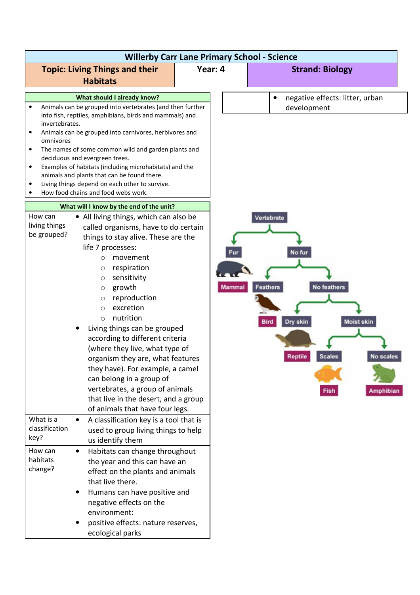| <b>Willerby Carr Lane Primary School - Science</b> |                                                                                                                                                                                                                                                                                                                                                                                                                                                                                                                                                                                                                                  |         |                                                                                                                                                      |  |  |
|----------------------------------------------------|----------------------------------------------------------------------------------------------------------------------------------------------------------------------------------------------------------------------------------------------------------------------------------------------------------------------------------------------------------------------------------------------------------------------------------------------------------------------------------------------------------------------------------------------------------------------------------------------------------------------------------|---------|------------------------------------------------------------------------------------------------------------------------------------------------------|--|--|
|                                                    | <b>Topic: Living Things and their</b>                                                                                                                                                                                                                                                                                                                                                                                                                                                                                                                                                                                            | Year: 4 | <b>Strand: Biology</b>                                                                                                                               |  |  |
|                                                    | <b>Habitats</b>                                                                                                                                                                                                                                                                                                                                                                                                                                                                                                                                                                                                                  |         |                                                                                                                                                      |  |  |
| invertebrates.                                     | What should I already know?<br>Animals can be grouped into vertebrates (and then further<br>into fish, reptiles, amphibians, birds and mammals) and                                                                                                                                                                                                                                                                                                                                                                                                                                                                              |         | negative effects: litter, urban<br>development                                                                                                       |  |  |
| $\bullet$<br>omnivores<br>$\bullet$                | Animals can be grouped into carnivores, herbivores and<br>The names of some common wild and garden plants and<br>deciduous and evergreen trees.                                                                                                                                                                                                                                                                                                                                                                                                                                                                                  |         |                                                                                                                                                      |  |  |
| $\bullet$                                          | Examples of habitats (including microhabitats) and the<br>animals and plants that can be found there.<br>Living things depend on each other to survive.<br>How food chains and food webs work.                                                                                                                                                                                                                                                                                                                                                                                                                                   |         |                                                                                                                                                      |  |  |
|                                                    | What will I know by the end of the unit?                                                                                                                                                                                                                                                                                                                                                                                                                                                                                                                                                                                         |         |                                                                                                                                                      |  |  |
| How can<br>living things<br>be grouped?            | • All living things, which can also be<br>called organisms, have to do certain<br>things to stay alive. These are the<br>life 7 processes:<br>movement<br>$\circ$<br>respiration<br>O<br>sensitivity<br>$\circ$<br>growth<br>O<br>reproduction<br>$\circ$<br>excretion<br>$\circ$<br>nutrition<br>$\circ$<br>Living things can be grouped<br>according to different criteria<br>(where they live, what type of<br>organism they are, what features<br>they have). For example, a camel<br>can belong in a group of<br>vertebrates, a group of animals<br>that live in the desert, and a group<br>of animals that have four legs. | Mammal  | Vertebrate<br>No fur<br>No feathers<br><b>Feathers</b><br><b>Moist skin</b><br>Dry skin<br><b>No scales</b><br><b>Scales</b><br>Reptile<br>Amphibian |  |  |
| What is a<br>classification<br>key?                | A classification key is a tool that is<br>$\bullet$<br>used to group living things to help<br>us identify them                                                                                                                                                                                                                                                                                                                                                                                                                                                                                                                   |         |                                                                                                                                                      |  |  |
| How can<br>habitats<br>change?                     | Habitats can change throughout<br>$\bullet$<br>the year and this can have an<br>effect on the plants and animals<br>that live there.<br>Humans can have positive and<br>negative effects on the<br>environment:<br>positive effects: nature reserves,<br>ecological parks                                                                                                                                                                                                                                                                                                                                                        |         |                                                                                                                                                      |  |  |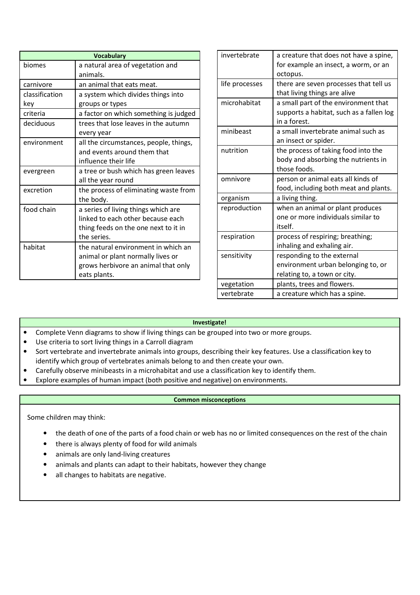| <b>Vocabulary</b> |                                              |  |  |
|-------------------|----------------------------------------------|--|--|
| biomes            | a natural area of vegetation and<br>animals. |  |  |
| carnivore         | an animal that eats meat.                    |  |  |
| classification    | a system which divides things into           |  |  |
| kev               | groups or types                              |  |  |
| criteria          | a factor on which something is judged        |  |  |
| deciduous         | trees that lose leaves in the autumn         |  |  |
|                   | every year                                   |  |  |
| environment       | all the circumstances, people, things,       |  |  |
|                   | and events around them that                  |  |  |
|                   | influence their life                         |  |  |
| evergreen         | a tree or bush which has green leaves        |  |  |
|                   | all the year round                           |  |  |
| excretion         | the process of eliminating waste from        |  |  |
|                   | the body.                                    |  |  |
| food chain        | a series of living things which are          |  |  |
|                   | linked to each other because each            |  |  |
|                   | thing feeds on the one next to it in         |  |  |
|                   | the series.                                  |  |  |
| habitat           | the natural environment in which an          |  |  |
|                   | animal or plant normally lives or            |  |  |
|                   | grows herbivore an animal that only          |  |  |
|                   | eats plants.                                 |  |  |

| invertebrate   | a creature that does not have a spine,<br>for example an insect, a worm, or an<br>octopus.       |
|----------------|--------------------------------------------------------------------------------------------------|
| life processes | there are seven processes that tell us<br>that living things are alive                           |
| microhabitat   | a small part of the environment that<br>supports a habitat, such as a fallen log<br>in a forest. |
| minibeast      | a small invertebrate animal such as<br>an insect or spider.                                      |
| nutrition      | the process of taking food into the<br>body and absorbing the nutrients in<br>those foods.       |
| omnivore       | person or animal eats all kinds of<br>food, including both meat and plants.                      |
| organism       | a living thing.                                                                                  |
| reproduction   | when an animal or plant produces<br>one or more individuals similar to<br>itself.                |
| respiration    | process of respiring; breathing;<br>inhaling and exhaling air.                                   |
| sensitivity    | responding to the external<br>environment urban belonging to, or<br>relating to, a town or city. |
| vegetation     | plants, trees and flowers.                                                                       |
| vertebrate     | a creature which has a spine.                                                                    |

## **Investigate!**

- Complete Venn diagrams to show if living things can be grouped into two or more groups.
- Use criteria to sort living things in a Carroll diagram
- Sort vertebrate and invertebrate animals into groups, describing their key features. Use a classification key to identify which group of vertebrates animals belong to and then create your own.
- Carefully observe minibeasts in a microhabitat and use a classification key to identify them.
- Explore examples of human impact (both positive and negative) on environments.

## **Common misconceptions**

Some children may think:

- the death of one of the parts of a food chain or web has no or limited consequences on the rest of the chain
- there is always plenty of food for wild animals
- animals are only land-living creatures
- animals and plants can adapt to their habitats, however they change
- all changes to habitats are negative.